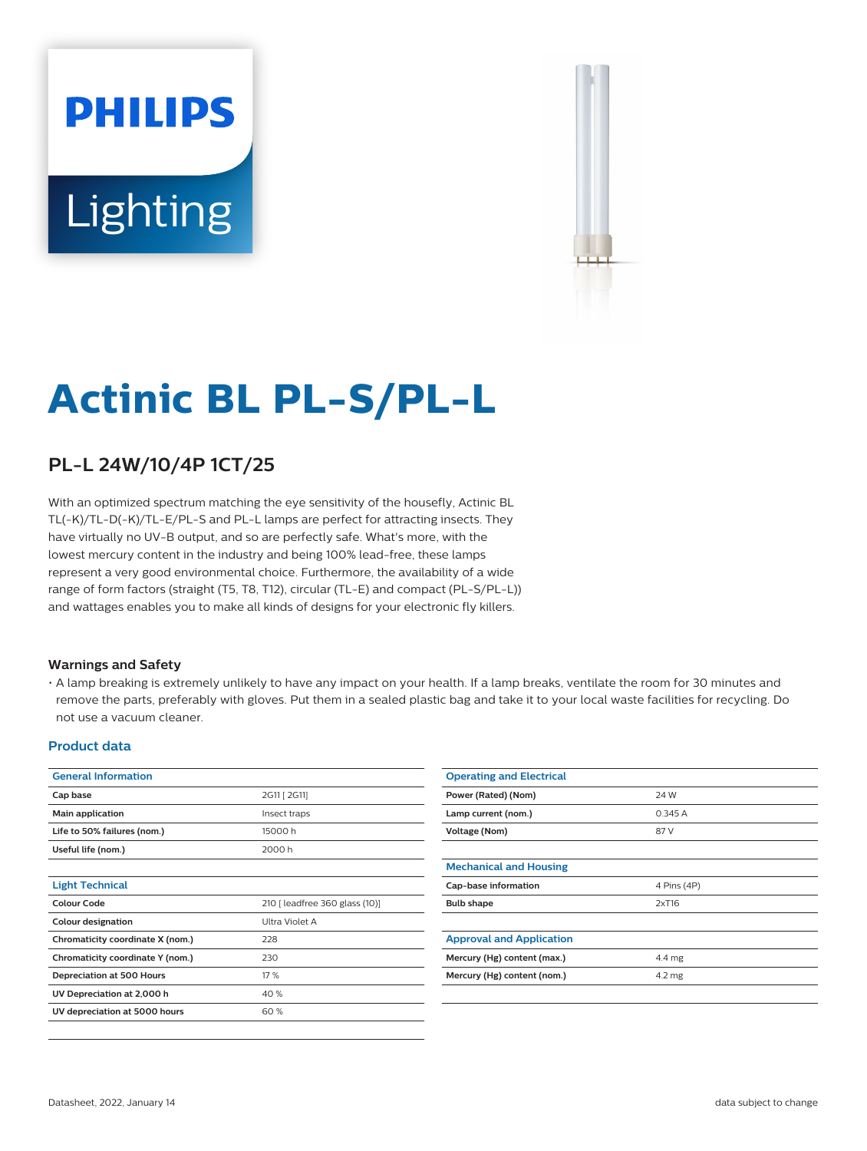# **PHILIPS** Lighting



# **Actinic BL PL-S/PL-L**

## **PL-L 24W/10/4P 1CT/25**

With an optimized spectrum matching the eye sensitivity of the housefly, Actinic BL TL(-K)/TL-D(-K)/TL-E/PL-S and PL-L lamps are perfect for attracting insects. They have virtually no UV-B output, and so are perfectly safe. What's more, with the lowest mercury content in the industry and being 100% lead-free, these lamps represent a very good environmental choice. Furthermore, the availability of a wide range of form factors (straight (T5, T8, T12), circular (TL-E) and compact (PL-S/PL-L)) and wattages enables you to make all kinds of designs for your electronic fly killers.

#### **Warnings and Safety**

• A lamp breaking is extremely unlikely to have any impact on your health. If a lamp breaks, ventilate the room for 30 minutes and remove the parts, preferably with gloves. Put them in a sealed plastic bag and take it to your local waste facilities for recycling. Do not use a vacuum cleaner.

#### **Product data**

| <b>General Information</b>       |                                |
|----------------------------------|--------------------------------|
| Cap base                         | 2G11 [ 2G11]                   |
| Main application                 | Insect traps                   |
| Life to 50% failures (nom.)      | 15000h                         |
| Useful life (nom.)               | 2000 h                         |
|                                  |                                |
| <b>Light Technical</b>           |                                |
| Colour Code                      | 210   leadfree 360 glass (10)] |
| <b>Colour designation</b>        | Ultra Violet A                 |
| Chromaticity coordinate X (nom.) | 228                            |
| Chromaticity coordinate Y (nom.) | 230                            |
| <b>Depreciation at 500 Hours</b> | 17 %                           |
| UV Depreciation at 2,000 h       | 40 %                           |
|                                  |                                |
| UV depreciation at 5000 hours    | 60%                            |

| <b>Operating and Electrical</b> |                  |
|---------------------------------|------------------|
| Power (Rated) (Nom)             | 24 W             |
| Lamp current (nom.)             | 0.345A           |
| <b>Voltage (Nom)</b>            | 87 V             |
|                                 |                  |
| <b>Mechanical and Housing</b>   |                  |
| Cap-base information            | 4 Pins (4P)      |
| <b>Bulb shape</b>               | 2xT16            |
|                                 |                  |
|                                 |                  |
| <b>Approval and Application</b> |                  |
| Mercury (Hg) content (max.)     | 4.4 mg           |
| Mercury (Hg) content (nom.)     | $4.2 \text{ mg}$ |